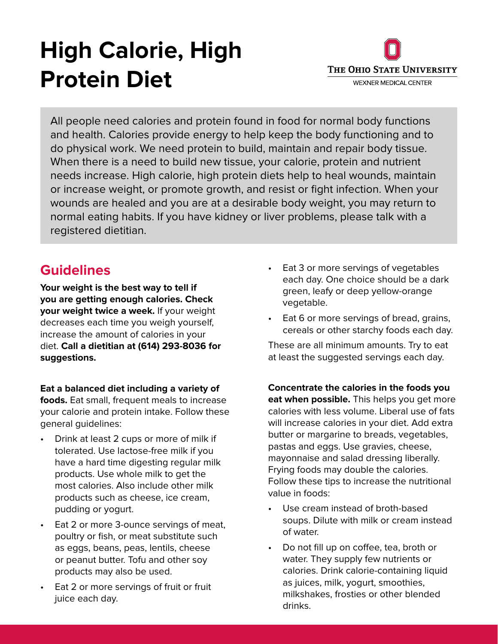# **High Calorie, High Protein Diet**



All people need calories and protein found in food for normal body functions and health. Calories provide energy to help keep the body functioning and to do physical work. We need protein to build, maintain and repair body tissue. When there is a need to build new tissue, your calorie, protein and nutrient needs increase. High calorie, high protein diets help to heal wounds, maintain or increase weight, or promote growth, and resist or fight infection. When your wounds are healed and you are at a desirable body weight, you may return to normal eating habits. If you have kidney or liver problems, please talk with a registered dietitian.

**Your weight is the best way to tell if you are getting enough calories. Check your weight twice a week.** If your weight decreases each time you weigh yourself, increase the amount of calories in your diet. **Call a dietitian at (614) 293-8036 for suggestions.**

**Eat a balanced diet including a variety of foods.** Eat small, frequent meals to increase

your calorie and protein intake. Follow these general guidelines:

- Drink at least 2 cups or more of milk if tolerated. Use lactose-free milk if you have a hard time digesting regular milk products. Use whole milk to get the most calories. Also include other milk products such as cheese, ice cream, pudding or yogurt.
- Eat 2 or more 3-ounce servings of meat, poultry or fish, or meat substitute such as eggs, beans, peas, lentils, cheese or peanut butter. Tofu and other soy products may also be used.
- Eat 2 or more servings of fruit or fruit juice each day.
- **Guidelines** Eat 3 or more servings of vegetables each day. One choice should be a dark green, leafy or deep yellow-orange vegetable.
	- Eat 6 or more servings of bread, grains, cereals or other starchy foods each day.

These are all minimum amounts. Try to eat at least the suggested servings each day.

**Concentrate the calories in the foods you eat when possible.** This helps you get more calories with less volume. Liberal use of fats will increase calories in your diet. Add extra butter or margarine to breads, vegetables, pastas and eggs. Use gravies, cheese, mayonnaise and salad dressing liberally. Frying foods may double the calories. Follow these tips to increase the nutritional value in foods:

- Use cream instead of broth-based soups. Dilute with milk or cream instead of water.
- Do not fill up on coffee, tea, broth or water. They supply few nutrients or calories. Drink calorie-containing liquid as juices, milk, yogurt, smoothies, milkshakes, frosties or other blended drinks.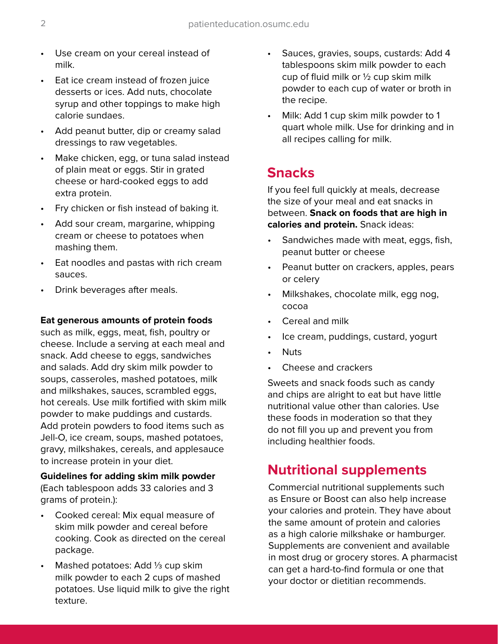- Use cream on your cereal instead of milk.
- Eat ice cream instead of frozen juice desserts or ices. Add nuts, chocolate syrup and other toppings to make high calorie sundaes.
- Add peanut butter, dip or creamy salad dressings to raw vegetables.
- Make chicken, egg, or tuna salad instead of plain meat or eggs. Stir in grated cheese or hard-cooked eggs to add extra protein.
- Fry chicken or fish instead of baking it.
- Add sour cream, margarine, whipping cream or cheese to potatoes when mashing them.
- Eat noodles and pastas with rich cream sauces.
- Drink beverages after meals.

#### **Eat generous amounts of protein foods**

such as milk, eggs, meat, fish, poultry or cheese. Include a serving at each meal and snack. Add cheese to eggs, sandwiches and salads. Add dry skim milk powder to soups, casseroles, mashed potatoes, milk and milkshakes, sauces, scrambled eggs, hot cereals. Use milk fortified with skim milk powder to make puddings and custards. Add protein powders to food items such as Jell-O, ice cream, soups, mashed potatoes, gravy, milkshakes, cereals, and applesauce to increase protein in your diet.

#### **Guidelines for adding skim milk powder**  (Each tablespoon adds 33 calories and 3 grams of protein.):

- Cooked cereal: Mix equal measure of skim milk powder and cereal before cooking. Cook as directed on the cereal package.
- Mashed potatoes: Add ⅓ cup skim milk powder to each 2 cups of mashed potatoes. Use liquid milk to give the right texture.
- Sauces, gravies, soups, custards: Add 4 tablespoons skim milk powder to each cup of fluid milk or ½ cup skim milk powder to each cup of water or broth in the recipe.
- Milk: Add 1 cup skim milk powder to 1 quart whole milk. Use for drinking and in all recipes calling for milk.

# **Snacks**

If you feel full quickly at meals, decrease the size of your meal and eat snacks in between. **Snack on foods that are high in calories and protein.** Snack ideas:

- Sandwiches made with meat, eggs, fish, peanut butter or cheese
- Peanut butter on crackers, apples, pears or celery
- Milkshakes, chocolate milk, egg nog, cocoa
- Cereal and milk
- Ice cream, puddings, custard, yogurt
- Nuts
- Cheese and crackers

Sweets and snack foods such as candy and chips are alright to eat but have little nutritional value other than calories. Use these foods in moderation so that they do not fill you up and prevent you from including healthier foods.

# **Nutritional supplements**

Commercial nutritional supplements such as Ensure or Boost can also help increase your calories and protein. They have about the same amount of protein and calories as a high calorie milkshake or hamburger. Supplements are convenient and available in most drug or grocery stores. A pharmacist can get a hard-to-find formula or one that your doctor or dietitian recommends.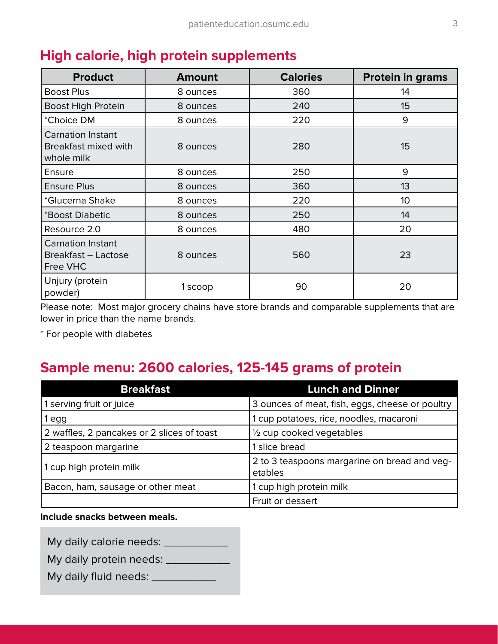| <b>Product</b>                                                        | <b>Amount</b> | <b>Calories</b> | <b>Protein in grams</b> |
|-----------------------------------------------------------------------|---------------|-----------------|-------------------------|
| <b>Boost Plus</b>                                                     | 8 ounces      | 360             | 14                      |
| <b>Boost High Protein</b>                                             | 8 ounces      | 240             | 15                      |
| *Choice DM                                                            | 8 ounces      | 220             | 9                       |
| <b>Carnation Instant</b><br><b>Breakfast mixed with</b><br>whole milk | 8 ounces      | 280             | 15                      |
| <b>Ensure</b>                                                         | 8 ounces      | 250             | 9                       |
| <b>Ensure Plus</b>                                                    | 8 ounces      | 360             | 13                      |
| *Glucerna Shake                                                       | 8 ounces      | 220             | 10 <sup>°</sup>         |
| *Boost Diabetic                                                       | 8 ounces      | 250             | 14                      |
| Resource 2.0                                                          | 8 ounces      | 480             | 20                      |
| <b>Carnation Instant</b><br>Breakfast - Lactose<br>Free VHC           | 8 ounces      | 560             | 23                      |
| Unjury (protein<br>powder)                                            | 1 scoop       | 90              | 20                      |

# **High calorie, high protein supplements**

Please note: Most major grocery chains have store brands and comparable supplements that are lower in price than the name brands.

\* For people with diabetes

# **Sample menu: 2600 calories, 125-145 grams of protein**

| <b>Breakfast</b>                           | <b>Lunch and Dinner</b>                                 |  |
|--------------------------------------------|---------------------------------------------------------|--|
| 1 serving fruit or juice                   | 3 ounces of meat, fish, eggs, cheese or poultry         |  |
| 1 egg                                      | 1 cup potatoes, rice, noodles, macaroni                 |  |
| 2 waffles, 2 pancakes or 2 slices of toast | $\frac{1}{2}$ cup cooked vegetables                     |  |
| 2 teaspoon margarine                       | 1 slice bread                                           |  |
| 1 cup high protein milk                    | 2 to 3 teaspoons margarine on bread and veg-<br>etables |  |
| Bacon, ham, sausage or other meat          | 1 cup high protein milk                                 |  |
|                                            | Fruit or dessert                                        |  |

**Include snacks between meals.**

My daily calorie needs: \_\_\_\_\_\_\_\_\_\_\_\_

My daily protein needs: \_\_\_\_\_\_\_\_\_\_\_\_

My daily fluid needs: \_\_\_\_\_\_\_\_\_\_\_